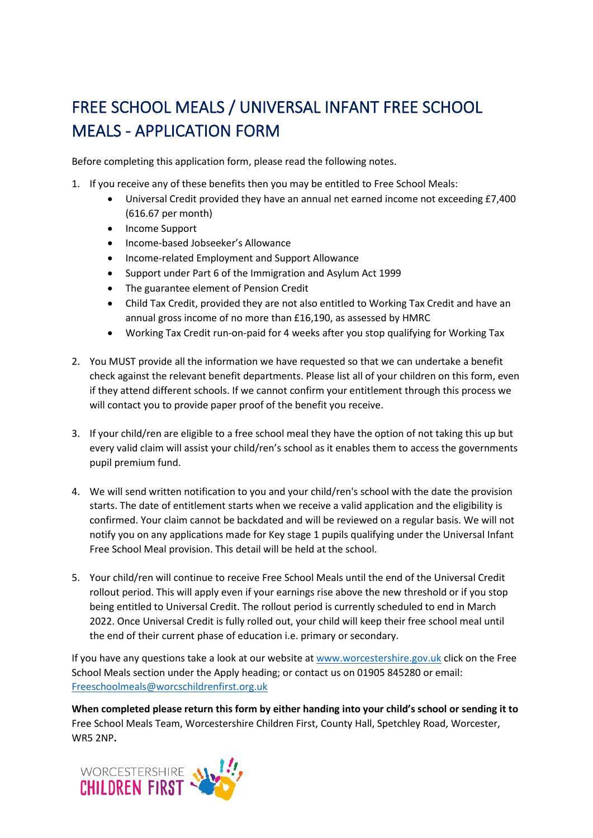## FREE SCHOOL MEALS / UNIVERSAL INFANT FREE SCHOOL MEALS - APPLICATION FORM

Before completing this application form, please read the following notes.

- 1. If you receive any of these benefits then you may be entitled to Free School Meals:
	- Universal Credit provided they have an annual net earned income not exceeding £7,400 (616.67 per month)
	- Income Support
	- Income-based Jobseeker's Allowance
	- Income-related Employment and Support Allowance
	- Support under Part 6 of the Immigration and Asylum Act 1999
	- The guarantee element of Pension Credit
	- Child Tax Credit, provided they are not also entitled to Working Tax Credit and have an annual gross income of no more than £16,190, as assessed by HMRC
	- Working Tax Credit run-on-paid for 4 weeks after you stop qualifying for Working Tax
- 2. You MUST provide all the information we have requested so that we can undertake a benefit check against the relevant benefit departments. Please list all of your children on this form, even if they attend different schools. If we cannot confirm your entitlement through this process we will contact you to provide paper proof of the benefit you receive.
- 3. If your child/ren are eligible to a free school meal they have the option of not taking this up but every valid claim will assist your child/ren's school as it enables them to access the governments pupil premium fund.
- 4. We will send written notification to you and your child/ren's school with the date the provision starts. The date of entitlement starts when we receive a valid application and the eligibility is confirmed. Your claim cannot be backdated and will be reviewed on a regular basis. We will not notify you on any applications made for Key stage 1 pupils qualifying under the Universal Infant Free School Meal provision. This detail will be held at the school.
- 5. Your child/ren will continue to receive Free School Meals until the end of the Universal Credit rollout period. This will apply even if your earnings rise above the new threshold or if you stop being entitled to Universal Credit. The rollout period is currently scheduled to end in March 2022. Once Universal Credit is fully rolled out, your child will keep their free school meal until the end of their current phase of education i.e. primary or secondary.

If you have any questions take a look at our website a[t www.worcestershire.gov.uk](http://www.worcestershire.gov.uk/) click on the Free School Meals section under the Apply heading; or contact us on 01905 845280 or email: [Freeschoolmeals@worcschildrenfirst.org.uk](mailto:Freeschoolmeals@worcschildrenfirst.org.uk)

**When completed please return this form by either handing into your child's school or sending it to**  Free School Meals Team, Worcestershire Children First, County Hall, Spetchley Road, Worcester, WR5 2NP**.**